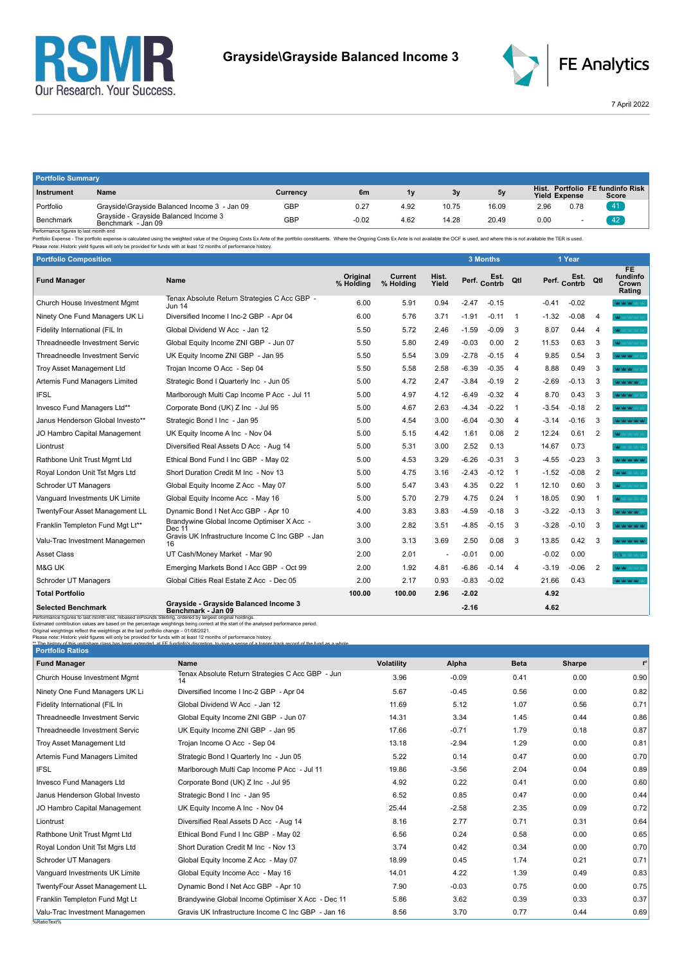



7 April 2022

| <b>Portfolio Summary</b> |                                                             |          |         |      |       |       |                      |      |                                           |
|--------------------------|-------------------------------------------------------------|----------|---------|------|-------|-------|----------------------|------|-------------------------------------------|
| Instrument               | Name                                                        | Currency | 6m      | 1v   | 3y    | 5v    | <b>Yield Expense</b> |      | Hist. Portfolio FE fundinfo Risk<br>Score |
| Portfolio                | Grayside\Grayside Balanced Income 3 - Jan 09                | GBP      | 0.27    | 4.92 | 10.75 | 16.09 | 2.96                 | 0.78 | 41                                        |
| <b>Benchmark</b><br>.    | Gravside - Gravside Balanced Income 3<br>Benchmark - Jan 09 | GBP      | $-0.02$ | 4.62 | 14.28 | 20.49 | 0.00                 |      |                                           |

Benchmark Benchmark Benchmark Benchmark Jan 09<br>- Performance figures is last month end<br>- Performance figures is alst month end benchmark - Jan 09<br>- Please note: Historic yield figures will only be provided for funds with a

| <b>Portfolio Composition</b>                                                                                                                                                                                                                                                                                                                        |                                                                                                                                                                                                                                                                                              |                              |                      |                | 3 Months     |         |                |         | 1 Year       |                |                                          |
|-----------------------------------------------------------------------------------------------------------------------------------------------------------------------------------------------------------------------------------------------------------------------------------------------------------------------------------------------------|----------------------------------------------------------------------------------------------------------------------------------------------------------------------------------------------------------------------------------------------------------------------------------------------|------------------------------|----------------------|----------------|--------------|---------|----------------|---------|--------------|----------------|------------------------------------------|
| <b>Fund Manager</b>                                                                                                                                                                                                                                                                                                                                 | Name                                                                                                                                                                                                                                                                                         | <b>Original</b><br>% Holding | Current<br>% Holding | Hist.<br>Yield | Perf. Contrb |         | Qtl            |         | Perf. Contrb | Qtl            | <b>FE</b><br>fundinfo<br>Crown<br>Rating |
| Church House Investment Mgmt                                                                                                                                                                                                                                                                                                                        | Tenax Absolute Return Strategies C Acc GBP -<br>Jun 14                                                                                                                                                                                                                                       | 6.00                         | 5.91                 | 0.94           | $-2.47$      | $-0.15$ |                | $-0.41$ | $-0.02$      |                | MAY MAY MAY 100                          |
| Ninety One Fund Managers UK Li                                                                                                                                                                                                                                                                                                                      | Diversified Income I Inc-2 GBP - Apr 04                                                                                                                                                                                                                                                      | 6.00                         | 5.76                 | 3.71           | $-1.91$      | $-0.11$ | $\overline{1}$ | $-1.32$ | $-0.08$      | $\overline{4}$ | <b>W</b> MONEY VALUE                     |
| Fidelity International (FIL In                                                                                                                                                                                                                                                                                                                      | Global Dividend W Acc - Jan 12                                                                                                                                                                                                                                                               | 5.50                         | 5.72                 | 2.46           | $-1.59$      | $-0.09$ | 3              | 8.07    | 0.44         | $\overline{4}$ | <b>WAY</b> MAY MAY MAY M                 |
| Threadneedle Investment Servic                                                                                                                                                                                                                                                                                                                      | Global Equity Income ZNI GBP - Jun 07                                                                                                                                                                                                                                                        | 5.50                         | 5.80                 | 2.49           | $-0.03$      | 0.00    | $\overline{2}$ | 11.53   | 0.63         | 3              | <b>MAY</b> MAY MAY MAY M                 |
| Threadneedle Investment Servic                                                                                                                                                                                                                                                                                                                      | UK Equity Income ZNI GBP - Jan 95                                                                                                                                                                                                                                                            | 5.50                         | 5.54                 | 3.09           | $-2.78$      | $-0.15$ | $\overline{4}$ | 9.85    | 0.54         | 3              | <b>VALUATION</b>                         |
| Troy Asset Management Ltd                                                                                                                                                                                                                                                                                                                           | Trojan Income O Acc - Sep 04                                                                                                                                                                                                                                                                 | 5.50                         | 5.58                 | 2.58           | $-6.39$      | $-0.35$ | $\overline{4}$ | 8.88    | 0.49         | 3              | <b>WOOD WOOD</b>                         |
| Artemis Fund Managers Limited                                                                                                                                                                                                                                                                                                                       | Strategic Bond I Quarterly Inc - Jun 05                                                                                                                                                                                                                                                      | 5.00                         | 4.72                 | 2.47           | $-3.84$      | $-0.19$ | $\overline{2}$ | $-2.69$ | $-0.13$      | 3              | MOMORATO                                 |
| IFSL                                                                                                                                                                                                                                                                                                                                                | Marlborough Multi Cap Income P Acc - Jul 11                                                                                                                                                                                                                                                  | 5.00                         | 4.97                 | 4.12           | $-6.49$      | $-0.32$ | -4             | 8.70    | 0.43         | 3              | <b>WAY MAY MAY</b>                       |
| Invesco Fund Managers Ltd**                                                                                                                                                                                                                                                                                                                         | Corporate Bond (UK) Z Inc - Jul 95                                                                                                                                                                                                                                                           | 5.00                         | 4.67                 | 2.63           | $-4.34$      | $-0.22$ | $\overline{1}$ | $-3.54$ | $-0.18$      | $\overline{2}$ | Mar Mar Mar Story                        |
| Janus Henderson Global Investo**                                                                                                                                                                                                                                                                                                                    | Strategic Bond I Inc - Jan 95                                                                                                                                                                                                                                                                | 5.00                         | 4.54                 | 3.00           | $-6.04$      | $-0.30$ | $\overline{4}$ | $-3.14$ | $-0.16$      | 3              | MOMORO MODELING                          |
| JO Hambro Capital Management                                                                                                                                                                                                                                                                                                                        | UK Equity Income A Inc - Nov 04                                                                                                                                                                                                                                                              | 5.00                         | 5.15                 | 4.42           | 1.61         | 0.08    | $\overline{2}$ | 12.24   | 0.61         | $\overline{2}$ | <b>MAY NAV NAV NAV N</b>                 |
| Liontrust                                                                                                                                                                                                                                                                                                                                           | Diversified Real Assets D Acc - Aug 14                                                                                                                                                                                                                                                       | 5.00                         | 5.31                 | 3.00           | 2.52         | 0.13    |                | 14.67   | 0.73         |                | <b>WOOD AREA</b>                         |
| Rathbone Unit Trust Mgmt Ltd                                                                                                                                                                                                                                                                                                                        | Ethical Bond Fund I Inc GBP - May 02                                                                                                                                                                                                                                                         | 5.00                         | 4.53                 | 3.29           | $-6.26$      | $-0.31$ | 3              | $-4.55$ | $-0.23$      | 3              | <b>Not had had had</b>                   |
| Royal London Unit Tst Mgrs Ltd                                                                                                                                                                                                                                                                                                                      | Short Duration Credit M Inc - Nov 13                                                                                                                                                                                                                                                         | 5.00                         | 4.75                 | 3.16           | $-2.43$      | $-0.12$ | $\overline{1}$ | $-1.52$ | $-0.08$      | $\overline{2}$ | <b>WOMEN CONTRACT</b>                    |
| Schroder UT Managers                                                                                                                                                                                                                                                                                                                                | Global Equity Income Z Acc - May 07                                                                                                                                                                                                                                                          | 5.00                         | 5.47                 | 3.43           | 4.35         | 0.22    | $\overline{1}$ | 12.10   | 0.60         | 3              | <b>WOMEN AREA</b>                        |
| Vanguard Investments UK Limite                                                                                                                                                                                                                                                                                                                      | Global Equity Income Acc - May 16                                                                                                                                                                                                                                                            | 5.00                         | 5.70                 | 2.79           | 4.75         | 0.24    | -1             | 18.05   | 0.90         | -1             | W.                                       |
| TwentyFour Asset Management LL                                                                                                                                                                                                                                                                                                                      | Dynamic Bond I Net Acc GBP - Apr 10                                                                                                                                                                                                                                                          | 4.00                         | 3.83                 | 3.83           | $-4.59$      | $-0.18$ | 3              | $-3.22$ | $-0.13$      | -3             | <b>WAS MAY MAY THAT</b>                  |
| Franklin Templeton Fund Mgt Lt**                                                                                                                                                                                                                                                                                                                    | Brandywine Global Income Optimiser X Acc -<br>Dec 11                                                                                                                                                                                                                                         | 3.00                         | 2.82                 | 3.51           | $-4.85$      | $-0.15$ | 3              | $-3.28$ | $-0.10$      | 3              | <b>Not had had had</b>                   |
| Valu-Trac Investment Managemen                                                                                                                                                                                                                                                                                                                      | Gravis UK Infrastructure Income C Inc GBP - Jan<br>16                                                                                                                                                                                                                                        | 3.00                         | 3.13                 | 3.69           | 2.50         | 0.08    | 3              | 13.85   | 0.42         | 3              | <b>Not had had had</b>                   |
| <b>Asset Class</b>                                                                                                                                                                                                                                                                                                                                  | UT Cash/Money Market - Mar 90                                                                                                                                                                                                                                                                | 2.00                         | 2.01                 |                | $-0.01$      | 0.00    |                | $-0.02$ | 0.00         |                | N/A MAY MAY                              |
| <b>M&amp;G UK</b>                                                                                                                                                                                                                                                                                                                                   | Emerging Markets Bond I Acc GBP - Oct 99                                                                                                                                                                                                                                                     | 2.00                         | 1.92                 | 4.81           | $-6.86$      | $-0.14$ | $\overline{4}$ | $-3.19$ | $-0.06$      | $\overline{2}$ | MOM:                                     |
| Schroder UT Managers                                                                                                                                                                                                                                                                                                                                | Global Cities Real Estate Z Acc - Dec 05                                                                                                                                                                                                                                                     | 2.00                         | 2.17                 | 0.93           | $-0.83$      | $-0.02$ |                | 21.66   | 0.43         |                | <b>WAY MAY MAY IMAGE</b>                 |
| <b>Total Portfolio</b>                                                                                                                                                                                                                                                                                                                              |                                                                                                                                                                                                                                                                                              | 100.00                       | 100.00               | 2.96           | $-2.02$      |         |                | 4.92    |              |                |                                          |
| <b>Selected Benchmark</b>                                                                                                                                                                                                                                                                                                                           | Grayside - Grayside Balanced Income 3<br>Benchmark - Jan 09                                                                                                                                                                                                                                  |                              |                      |                | $-2.16$      |         |                | 4.62    |              |                |                                          |
| Performance figures to last month end, rebased in Pounds Sterling, ordered by largest original holdings.<br>Original weightings reflect the weightings at the last portfolio change - 01/08/2021.<br>Please note: Historic yield figures will only be provided for funds with at least 12 months of performance history.<br><b>Portfolio Ratios</b> | Estimated contribution values are based on the percentage weightings being correct at the start of the analysed performance period.<br>** The history of this unit/share class hes heen extended at EE fundinfo's discretion to give a sense of a longer track record of the fund as a whole |                              |                      |                |              |         |                |         |              |                |                                          |

| <b>Portfolio Ratios</b>          |                                                        |                   |         |             |        |                |
|----------------------------------|--------------------------------------------------------|-------------------|---------|-------------|--------|----------------|
| <b>Fund Manager</b>              | Name                                                   | <b>Volatility</b> | Alpha   | <b>Beta</b> | Sharpe | r <sup>2</sup> |
| Church House Investment Mgmt     | Tenax Absolute Return Strategies C Acc GBP - Jun<br>14 | 3.96              | $-0.09$ | 0.41        | 0.00   | 0.90           |
| Ninety One Fund Managers UK Li   | Diversified Income I Inc-2 GBP - Apr 04                | 5.67              | $-0.45$ | 0.56        | 0.00   | 0.82           |
| Fidelity International (FIL In   | Global Dividend W Acc - Jan 12                         | 11.69             | 5.12    | 1.07        | 0.56   | 0.71           |
| Threadneedle Investment Servic   | Global Equity Income ZNI GBP - Jun 07                  | 14.31             | 3.34    | 1.45        | 0.44   | 0.86           |
| Threadneedle Investment Servic   | UK Equity Income ZNI GBP - Jan 95                      | 17.66             | $-0.71$ | 1.79        | 0.18   | 0.87           |
| <b>Troy Asset Management Ltd</b> | Trojan Income O Acc - Sep 04                           | 13.18             | $-2.94$ | 1.29        | 0.00   | 0.81           |
| Artemis Fund Managers Limited    | Strategic Bond I Quarterly Inc - Jun 05                | 5.22              | 0.14    | 0.47        | 0.00   | 0.70           |
| <b>IFSL</b>                      | Marlborough Multi Cap Income P Acc - Jul 11            | 19.86             | $-3.56$ | 2.04        | 0.04   | 0.89           |
| Invesco Fund Managers Ltd        | Corporate Bond (UK) Z Inc - Jul 95                     | 4.92              | 0.22    | 0.41        | 0.00   | 0.60           |
| Janus Henderson Global Investo   | Strategic Bond I Inc - Jan 95                          | 6.52              | 0.85    | 0.47        | 0.00   | 0.44           |
| JO Hambro Capital Management     | UK Equity Income A Inc - Nov 04                        | 25.44             | $-2.58$ | 2.35        | 0.09   | 0.72           |
| Liontrust                        | Diversified Real Assets D Acc - Aug 14                 | 8.16              | 2.77    | 0.71        | 0.31   | 0.64           |
| Rathbone Unit Trust Mgmt Ltd     | Ethical Bond Fund I Inc GBP - May 02                   | 6.56              | 0.24    | 0.58        | 0.00   | 0.65           |
| Royal London Unit Tst Mgrs Ltd   | Short Duration Credit M Inc - Nov 13                   | 3.74              | 0.42    | 0.34        | 0.00   | 0.70           |
| Schroder UT Managers             | Global Equity Income Z Acc - May 07                    | 18.99             | 0.45    | 1.74        | 0.21   | 0.71           |
| Vanguard Investments UK Limite   | Global Equity Income Acc - May 16                      | 14.01             | 4.22    | 1.39        | 0.49   | 0.83           |
| TwentyFour Asset Management LL   | Dynamic Bond I Net Acc GBP - Apr 10                    | 7.90              | $-0.03$ | 0.75        | 0.00   | 0.75           |
| Franklin Templeton Fund Mgt Lt   | Brandywine Global Income Optimiser X Acc - Dec 11      | 5.86              | 3.62    | 0.39        | 0.33   | 0.37           |
| Valu-Trac Investment Managemen   | Gravis UK Infrastructure Income C Inc GBP - Jan 16     | 8.56              | 3.70    | 0.77        | 0.44   | 0.69           |
| %RatioText%                      |                                                        |                   |         |             |        |                |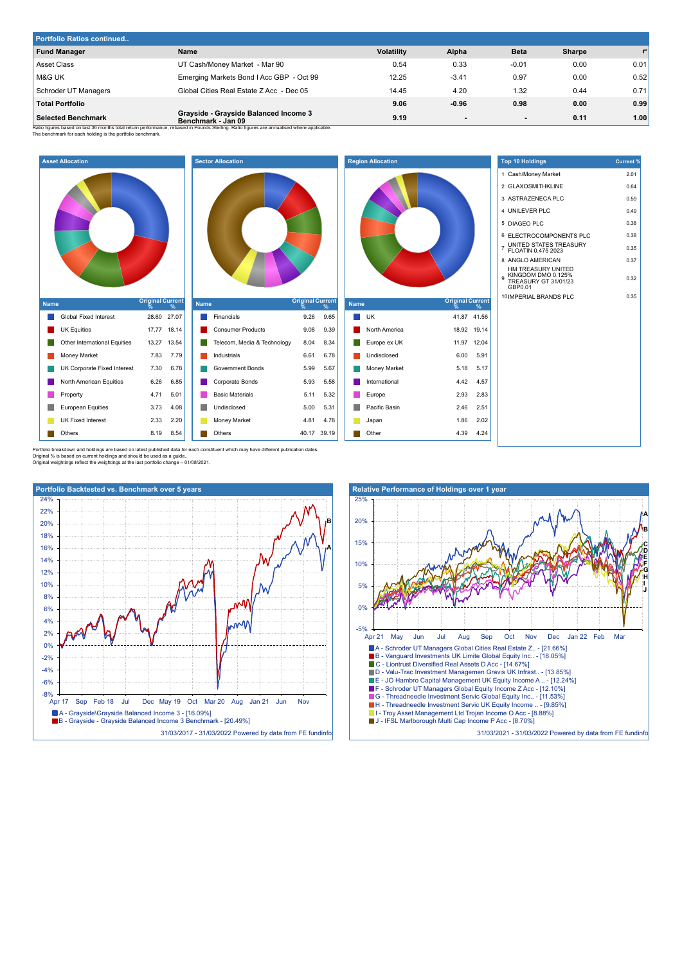| Portfolio Ratios continued |                                                                                                                                                                                                           |                   |                |             |        |       |
|----------------------------|-----------------------------------------------------------------------------------------------------------------------------------------------------------------------------------------------------------|-------------------|----------------|-------------|--------|-------|
| <b>Fund Manager</b>        | Name                                                                                                                                                                                                      | <b>Volatility</b> | Alpha          | <b>Beta</b> | Sharpe | $r^2$ |
| Asset Class                | UT Cash/Money Market - Mar 90                                                                                                                                                                             | 0.54              | 0.33           | $-0.01$     | 0.00   | 0.01  |
| <b>M&amp;G UK</b>          | Emerging Markets Bond I Acc GBP - Oct 99                                                                                                                                                                  | 12.25             | $-3.41$        | 0.97        | 0.00   | 0.52  |
| Schroder UT Managers       | Global Cities Real Estate Z Acc - Dec 05                                                                                                                                                                  | 14.45             | 4.20           | 1.32        | 0.44   | 0.71  |
| <b>Total Portfolio</b>     |                                                                                                                                                                                                           | 9.06              | $-0.96$        | 0.98        | 0.00   | 0.99  |
| <b>Selected Benchmark</b>  | Grayside - Grayside Balanced Income 3<br>Benchmark - Jan 09<br>Ratio figures based on last 36 months total return performance, rebased in Pounds Sterling. Ratio figures are annualised where applicable. | 9.19              | $\blacksquare$ | $\sim$      | 0.11   | 1.00  |

The benchmark for each holding is the benchmark Ratio figures based on last 36 months total return performark.<br>The benchmark for each holding is the portfolio benchmark.



| <b>Name</b> |                             | Original Current |      |  |  |  |  |
|-------------|-----------------------------|------------------|------|--|--|--|--|
|             | Financials                  | 9.26             | 9.65 |  |  |  |  |
|             | <b>Consumer Products</b>    | 9.08             | 9.39 |  |  |  |  |
|             | Telecom, Media & Technology | 8.04             | 8.34 |  |  |  |  |
|             | Industrials                 | 6.61             | 6.78 |  |  |  |  |
|             | Government Bonds            | 5.99             | 5.67 |  |  |  |  |
|             | Corporate Bonds             | 5.93             | 5.58 |  |  |  |  |
|             | <b>Basic Materials</b>      | 5.11             | 5.32 |  |  |  |  |
|             | Undisclosed                 | 5.00             | 5.31 |  |  |  |  |
|             |                             |                  |      |  |  |  |  |
|             | Money Market                | 4.81             | 4.78 |  |  |  |  |



| <b>Top 10 Holdings</b>                                                                  | <b>Current %</b> |
|-----------------------------------------------------------------------------------------|------------------|
| Cash/Money Market<br>1                                                                  | 2.01             |
| 2 GLAXOSMITHKLINE                                                                       | 0.64             |
| 3 ASTRAZENECA PLC                                                                       | 0.59             |
| UNILEVER PLC<br>$\overline{4}$                                                          | 0.49             |
| 5<br><b>DIAGEO PLC</b>                                                                  | 0.38             |
| <b>ELECTROCOMPONENTS PLC</b><br>6                                                       | 0.38             |
| UNITED STATES TREASURY<br>$\overline{7}$<br>FLOATIN 0.475 2023                          | 0.35             |
| 8 ANGLO AMERICAN                                                                        | 0.37             |
| HM TREASURY UNITED<br>KINGDOM DMO 0.125%<br>9<br><b>TREASURY GT 31/01/23</b><br>GBP0.01 | 0.32             |
| 10 IMPERIAL BRANDS PLC                                                                  | 0.35             |
|                                                                                         |                  |

Portfolio breakdown and holdings are based on latest published data for each constituent which may have different publication dates<br>Original % is based on current holdings and should be used as a guide..<br>Original weighting